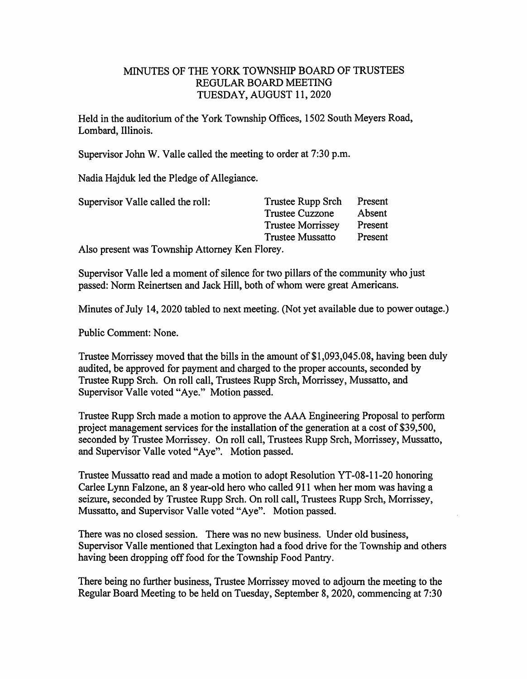## MINUTES OF THE YORK TOWNSHIP BOARD OF TRUSTEES REGULAR BOARD MEETING TUESDAY, AUGUST 11, 2020

Held in the auditorium of the York Township Offices, 1502 South Meyers Road, Lombard, Illinois.

Supervisor John W. Valle called the meeting to order at 7:30 p.m.

Nadia Hajduk led the Pledge of Allegiance.

| Supervisor Valle called the roll:              | Trustee Rupp Srch        | Present |
|------------------------------------------------|--------------------------|---------|
|                                                | <b>Trustee Cuzzone</b>   | Absent  |
|                                                | <b>Trustee Morrissey</b> | Present |
|                                                | <b>Trustee Mussatto</b>  | Present |
| Also present was Township Attorney Ken Florey. |                          |         |

Supervisor Valle led a moment of silence for two pillars of the community who just passed: Norm Reinertsen and Jack Hill, both of whom were great Americans.

Minutes of July 14, 2020 tabled to next meeting. (Not yet available due to power outage.)

Public Comment: None.

Trustee Morrissey moved that the bills in the amount of \$1,093,045.08, having been duly audited, be approved for payment and charged to the proper accounts, seconded by Trustee Rupp Srch. On roll call, Trustees Rupp Srch, Morrissey, Mussatto, and Supervisor Valle voted "Aye." Motion passed.

Trustee Rupp Srch made a motion to approve the AAA Engineering Proposal to perform project management services for the installation of the generation at a cost of \$39,500, seconded by Trustee Morrissey. On roll call. Trustees Rupp Srch, Morrissey, Mussatto, and Supervisor Valle voted "Aye". Motion passed.

Trustee Mussatto read and made a motion to adopt Resolution YT-08-11-20 honoring Carlee Lynn Falzone, an 8 year-old hero who called 911 when her mom was having a seizure, seconded by Trustee Rupp Srch. On roll call. Trustees Rupp Srch, Morrissey, Mussatto, and Supervisor Valle voted "Aye". Motion passed.

There was no closed session. There was no new business. Under old business. Supervisor Valle mentioned that Lexington had a food drive for the Township and others having been dropping off food for the Township Food Pantry.

There being no further business. Trustee Morrissey moved to adjourn the meeting to the Regular Board Meeting to be held on Tuesday, September 8, 2020, commencing at 7:30